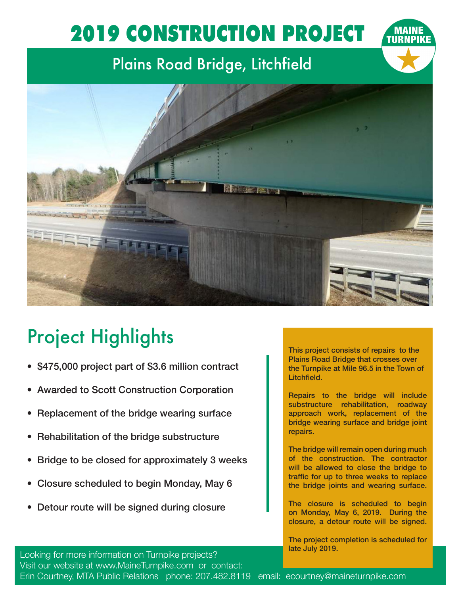## 2019 CONSTRUCTION PROJECT

## Plains Road Bridge, Litchfield



## Project Highlights

- \$475,000 project part of \$3.6 million contract
- Awarded to Scott Construction Corporation
- Replacement of the bridge wearing surface
- Rehabilitation of the bridge substructure
- Bridge to be closed for approximately 3 weeks
- Closure scheduled to begin Monday, May 6
- Detour route will be signed during closure

This project consists of repairs to the Plains Road Bridge that crosses over the Turnpike at Mile 96.5 in the Town of Litchfield.

Repairs to the bridge will include substructure rehabilitation, roadway approach work, replacement of the bridge wearing surface and bridge joint repairs.

The bridge will remain open during much of the construction. The contractor will be allowed to close the bridge to traffic for up to three weeks to replace the bridge joints and wearing surface.

The closure is scheduled to begin on Monday, May 6, 2019. During the closure, a detour route will be signed.

The project completion is scheduled for late July 2019.

Looking for more information on Turnpike projects? Visit our website at www.MaineTurnpike.com or contact: Erin Courtney, MTA Public Relations phone: 207.482.8119 email: ecourtney@maineturnpike.com